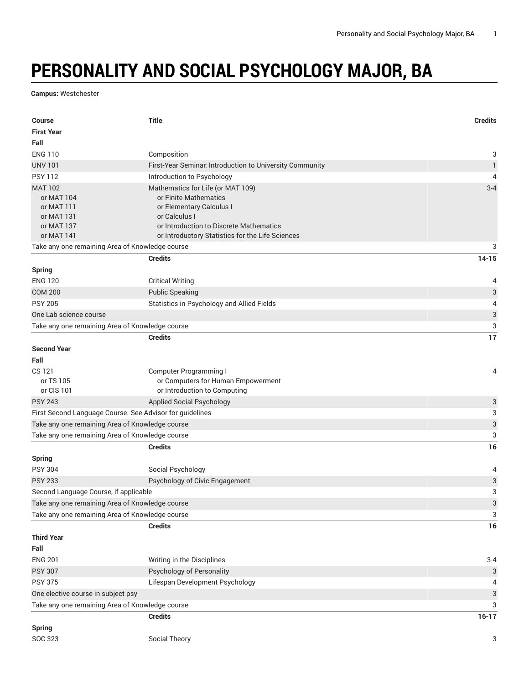## **PERSONALITY AND SOCIAL PSYCHOLOGY MAJOR, BA**

**Campus:** Westchester

| <b>Course</b>                                            | <b>Title</b>                                             | <b>Credits</b>            |
|----------------------------------------------------------|----------------------------------------------------------|---------------------------|
| <b>First Year</b>                                        |                                                          |                           |
| Fall                                                     |                                                          |                           |
| <b>ENG 110</b>                                           | Composition                                              | 3                         |
| <b>UNV 101</b>                                           | First-Year Seminar. Introduction to University Community | $\mathbf{1}$              |
| <b>PSY 112</b>                                           | Introduction to Psychology                               | $\overline{4}$            |
| <b>MAT 102</b>                                           | Mathematics for Life (or MAT 109)                        | $3 - 4$                   |
| or MAT 104                                               | or Finite Mathematics                                    |                           |
| or MAT 111                                               | or Elementary Calculus I<br>or Calculus I                |                           |
| or MAT 131<br>or MAT 137                                 | or Introduction to Discrete Mathematics                  |                           |
| or MAT 141                                               | or Introductory Statistics for the Life Sciences         |                           |
| Take any one remaining Area of Knowledge course          |                                                          | 3                         |
|                                                          | <b>Credits</b>                                           | $14 - 15$                 |
| <b>Spring</b>                                            |                                                          |                           |
| <b>ENG 120</b>                                           | <b>Critical Writing</b>                                  | 4                         |
| <b>COM 200</b>                                           | <b>Public Speaking</b>                                   | 3                         |
| <b>PSY 205</b>                                           | Statistics in Psychology and Allied Fields               | 4                         |
| One Lab science course                                   |                                                          | 3                         |
| Take any one remaining Area of Knowledge course          |                                                          | 3                         |
|                                                          | <b>Credits</b>                                           | 17                        |
| <b>Second Year</b>                                       |                                                          |                           |
| Fall                                                     |                                                          |                           |
| CS 121                                                   | <b>Computer Programming I</b>                            | 4                         |
| or TS 105                                                | or Computers for Human Empowerment                       |                           |
| or CIS 101                                               | or Introduction to Computing                             |                           |
| <b>PSY 243</b>                                           | <b>Applied Social Psychology</b>                         | 3                         |
| First Second Language Course. See Advisor for guidelines |                                                          | 3                         |
| Take any one remaining Area of Knowledge course          |                                                          | $\ensuremath{\mathsf{3}}$ |
| Take any one remaining Area of Knowledge course          |                                                          | 3                         |
|                                                          | <b>Credits</b>                                           | 16                        |
| <b>Spring</b>                                            |                                                          |                           |
| <b>PSY 304</b>                                           | Social Psychology                                        | 4                         |
| <b>PSY 233</b>                                           | Psychology of Civic Engagement                           | 3                         |
| Second Language Course, if applicable                    |                                                          | 3                         |
| Take any one remaining Area of Knowledge course          |                                                          | $\sqrt{3}$                |
| Take any one remaining Area of Knowledge course          |                                                          | 3                         |
|                                                          | <b>Credits</b>                                           | $16\,$                    |
| <b>Third Year</b>                                        |                                                          |                           |
| Fall                                                     |                                                          |                           |
| <b>ENG 201</b>                                           | Writing in the Disciplines                               | $3 - 4$                   |
| <b>PSY 307</b>                                           | Psychology of Personality                                | 3                         |
| <b>PSY 375</b>                                           | Lifespan Development Psychology                          | 4                         |
| One elective course in subject psy                       |                                                          | 3                         |
| Take any one remaining Area of Knowledge course          |                                                          | 3                         |
|                                                          | <b>Credits</b>                                           | $16-17$                   |
| <b>Spring</b>                                            |                                                          |                           |
| SOC 323                                                  | Social Theory                                            | 3                         |